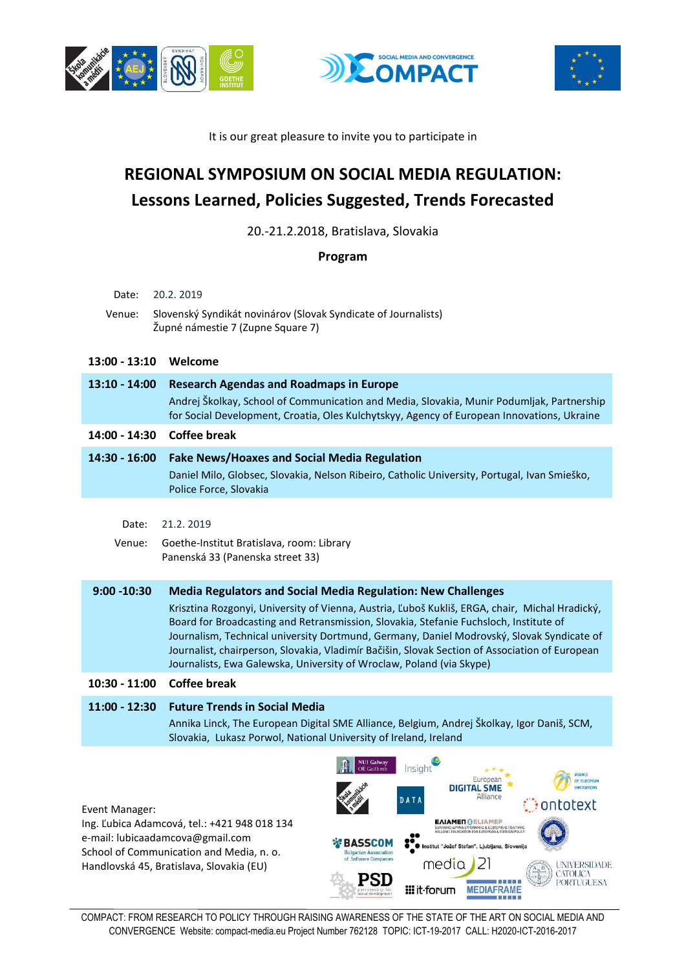





It is our great pleasure to invite you to participate in

## **REGIONAL SYMPOSIUM ON SOCIAL MEDIA REGULATION: Lessons Learned, Policies Suggested, Trends Forecasted**

20.-21.2.2018, Bratislava, Slovakia

**Program**

| Date:<br>Venue: | 20.2.2019<br>Slovenský Syndikát novinárov (Slovak Syndicate of Journalists)<br>Župné námestie 7 (Zupne Square 7)                                                                                                                                                                                                                                                                                                                                               |
|-----------------|----------------------------------------------------------------------------------------------------------------------------------------------------------------------------------------------------------------------------------------------------------------------------------------------------------------------------------------------------------------------------------------------------------------------------------------------------------------|
| $13:00 - 13:10$ | Welcome                                                                                                                                                                                                                                                                                                                                                                                                                                                        |
| $13:10 - 14:00$ | <b>Research Agendas and Roadmaps in Europe</b>                                                                                                                                                                                                                                                                                                                                                                                                                 |
|                 | Andrej Školkay, School of Communication and Media, Slovakia, Munir Podumljak, Partnership<br>for Social Development, Croatia, Oles Kulchytskyy, Agency of European Innovations, Ukraine                                                                                                                                                                                                                                                                        |
| 14:00 - 14:30   | <b>Coffee break</b>                                                                                                                                                                                                                                                                                                                                                                                                                                            |
| 14:30 - 16:00   | <b>Fake News/Hoaxes and Social Media Regulation</b><br>Daniel Milo, Globsec, Slovakia, Nelson Ribeiro, Catholic University, Portugal, Ivan Smieško,<br>Police Force, Slovakia                                                                                                                                                                                                                                                                                  |
|                 | 21.2.2019                                                                                                                                                                                                                                                                                                                                                                                                                                                      |
| Date:<br>Venue: | Goethe-Institut Bratislava, room: Library<br>Panenská 33 (Panenska street 33)                                                                                                                                                                                                                                                                                                                                                                                  |
| $9:00 - 10:30$  | <b>Media Regulators and Social Media Regulation: New Challenges</b>                                                                                                                                                                                                                                                                                                                                                                                            |
|                 | Krisztina Rozgonyi, University of Vienna, Austria, Ľuboš Kukliš, ERGA, chair, Michal Hradický,<br>Board for Broadcasting and Retransmission, Slovakia, Stefanie Fuchsloch, Institute of<br>Journalism, Technical university Dortmund, Germany, Daniel Modrovský, Slovak Syndicate of<br>Journalist, chairperson, Slovakia, Vladimír Bačišin, Slovak Section of Association of European<br>Journalists, Ewa Galewska, University of Wroclaw, Poland (via Skype) |
| $10:30 - 11:00$ | <b>Coffee break</b>                                                                                                                                                                                                                                                                                                                                                                                                                                            |
| $11:00 - 12:30$ | <b>Future Trends in Social Media</b><br>Annika Linck, The European Digital SME Alliance, Belgium, Andrej Školkay, Igor Daniš, SCM,<br>Slovakia, Lukasz Porwol, National University of Ireland, Ireland                                                                                                                                                                                                                                                         |



Ing. Ľubica Adamcová, tel.: +421 948 018 134 e-mail: lubicaadamcova@gmail.com School of Communication and Media, n. o. Handlovská 45, Bratislava, Slovakia (EU)